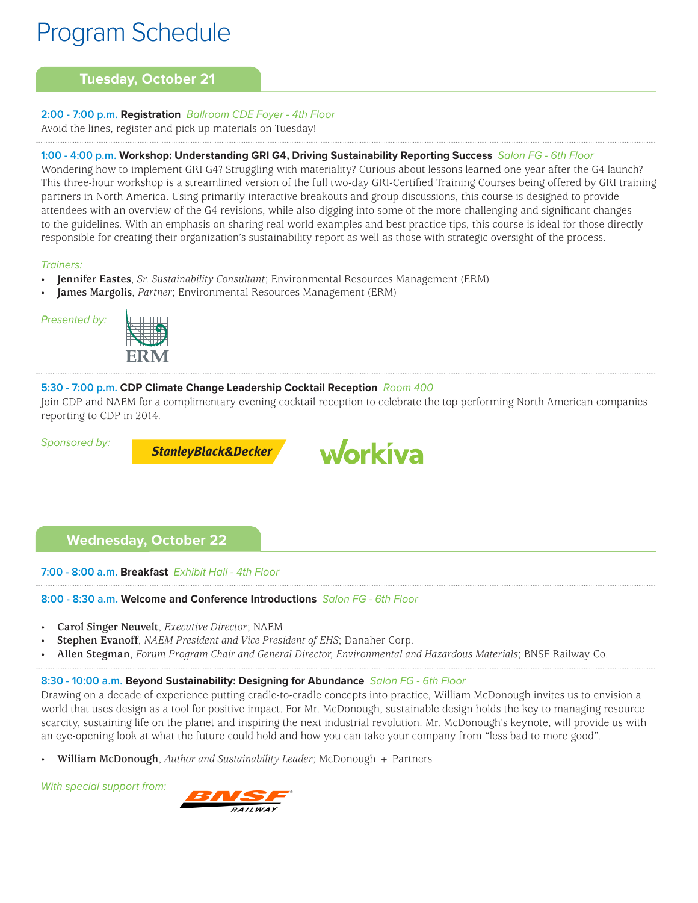# **Tuesday, October 21**

# **2:00 - 7:00 p.m. Registration** Ballroom CDE Foyer - 4th Floor

Avoid the lines, register and pick up materials on Tuesday!

# **1:00 - 4:00 p.m. Workshop: Understanding GRI G4, Driving Sustainability Reporting Success** Salon FG - 6th Floor

Wondering how to implement GRI G4? Struggling with materiality? Curious about lessons learned one year after the G4 launch? This three-hour workshop is a streamlined version of the full two-day GRI-Certified Training Courses being offered by GRI training partners in North America. Using primarily interactive breakouts and group discussions, this course is designed to provide attendees with an overview of the G4 revisions, while also digging into some of the more challenging and significant changes to the guidelines. With an emphasis on sharing real world examples and best practice tips, this course is ideal for those directly responsible for creating their organization's sustainability report as well as those with strategic oversight of the process.

#### Trainers:

- **Jennifer Eastes**, *Sr. Sustainability Consultant*; Environmental Resources Management (ERM)
- **James Margolis**, *Partner*; Environmental Resources Management (ERM)





# **5:30 - 7:00 p.m. CDP Climate Change Leadership Cocktail Reception** Room 400

Join CDP and NAEM for a complimentary evening cocktail reception to celebrate the top performing North American companies reporting to CDP in 2014.

#### Sponsored by:

**StanleyBlack&Decker** 



# **Wednesday, October 22**

**7:00 - 8:00 a.m. Breakfast** Exhibit Hall - 4th Floor

# **8:00 - 8:30 a.m. Welcome and Conference Introductions** Salon FG - 6th Floor

- **Carol Singer Neuvelt**, *Executive Director*; NAEM
- **Stephen Evanoff**, *NAEM President and Vice President of EHS*; Danaher Corp.
- **Allen Stegman**, *Forum Program Chair and General Director, Environmental and Hazardous Materials*; BNSF Railway Co.

# **8:30 - 10:00 a.m. Beyond Sustainability: Designing for Abundance** Salon FG - 6th Floor

Drawing on a decade of experience putting cradle-to-cradle concepts into practice, William McDonough invites us to envision a world that uses design as a tool for positive impact. For Mr. McDonough, sustainable design holds the key to managing resource scarcity, sustaining life on the planet and inspiring the next industrial revolution. Mr. McDonough's keynote, will provide us with an eye-opening look at what the future could hold and how you can take your company from "less bad to more good".

• **William McDonough**, *Author and Sustainability Leader*; McDonough + Partners

With special support from:

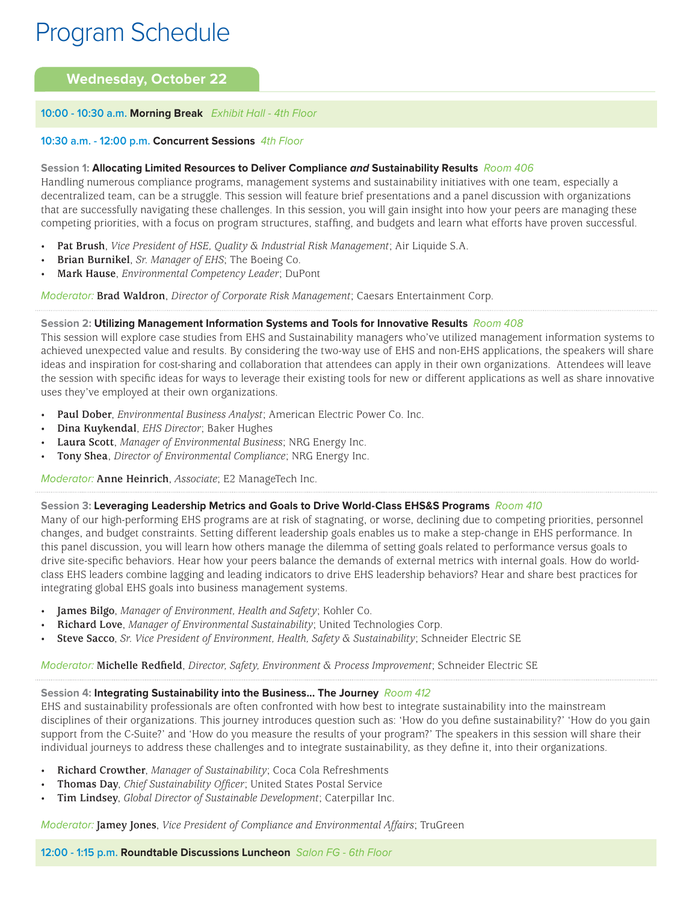# **Wednesday, October 22**

#### **10:00 - 10:30 a.m. Morning Break** Exhibit Hall - 4th Floor

#### **10:30 a.m. - 12:00 p.m. Concurrent Sessions** 4th Floor

#### **Session 1: Allocating Limited Resources to Deliver Compliance and Sustainability Results** Room 406

Handling numerous compliance programs, management systems and sustainability initiatives with one team, especially a decentralized team, can be a struggle. This session will feature brief presentations and a panel discussion with organizations that are successfully navigating these challenges. In this session, you will gain insight into how your peers are managing these competing priorities, with a focus on program structures, staffing, and budgets and learn what efforts have proven successful.

- **Pat Brush**, *Vice President of HSE, Quality & Industrial Risk Management*; Air Liquide S.A.
- **Brian Burnikel**, *Sr. Manager of EHS*; The Boeing Co.
- **Mark Hause**, *Environmental Competency Leader*; DuPont

Moderator: **Brad Waldron**, *Director of Corporate Risk Management*; Caesars Entertainment Corp.

#### **Session 2: Utilizing Management Information Systems and Tools for Innovative Results** Room 408

This session will explore case studies from EHS and Sustainability managers who've utilized management information systems to achieved unexpected value and results. By considering the two-way use of EHS and non-EHS applications, the speakers will share ideas and inspiration for cost-sharing and collaboration that attendees can apply in their own organizations. Attendees will leave the session with specific ideas for ways to leverage their existing tools for new or different applications as well as share innovative uses they've employed at their own organizations.

- **Paul Dober**, *Environmental Business Analyst*; American Electric Power Co. Inc.
- **Dina Kuykendal**, *EHS Director*; Baker Hughes
- **Laura Scott**, *Manager of Environmental Business*; NRG Energy Inc.
- **Tony Shea**, *Director of Environmental Compliance*; NRG Energy Inc.

Moderator: **Anne Heinrich**, *Associate*; E2 ManageTech Inc.

#### **Session 3: Leveraging Leadership Metrics and Goals to Drive World-Class EHS&S Programs** Room 410

Many of our high-performing EHS programs are at risk of stagnating, or worse, declining due to competing priorities, personnel changes, and budget constraints. Setting different leadership goals enables us to make a step-change in EHS performance. In this panel discussion, you will learn how others manage the dilemma of setting goals related to performance versus goals to drive site-specific behaviors. Hear how your peers balance the demands of external metrics with internal goals. How do worldclass EHS leaders combine lagging and leading indicators to drive EHS leadership behaviors? Hear and share best practices for integrating global EHS goals into business management systems.

- **James Bilgo**, *Manager of Environment, Health and Safety*; Kohler Co.
- **Richard Love**, *Manager of Environmental Sustainability*; United Technologies Corp.
- **Steve Sacco**, *Sr. Vice President of Environment, Health, Safety & Sustainability*; Schneider Electric SE

Moderator: **Michelle Redfield**, *Director, Safety, Environment & Process Improvement*; Schneider Electric SE

#### **Session 4: Integrating Sustainability into the Business... The Journey** Room 412

EHS and sustainability professionals are often confronted with how best to integrate sustainability into the mainstream disciplines of their organizations. This journey introduces question such as: 'How do you define sustainability?' 'How do you gain support from the C-Suite?' and 'How do you measure the results of your program?' The speakers in this session will share their individual journeys to address these challenges and to integrate sustainability, as they define it, into their organizations.

- **Richard Crowther**, *Manager of Sustainability*; Coca Cola Refreshments
- **Thomas Day**, *Chief Sustainability Officer*; United States Postal Service
- **Tim Lindsey**, *Global Director of Sustainable Development*; Caterpillar Inc.

Moderator: **Jamey Jones**, *Vice President of Compliance and Environmental Affairs*; TruGreen

**12:00 - 1:15 p.m. Roundtable Discussions Luncheon** Salon FG - 6th Floor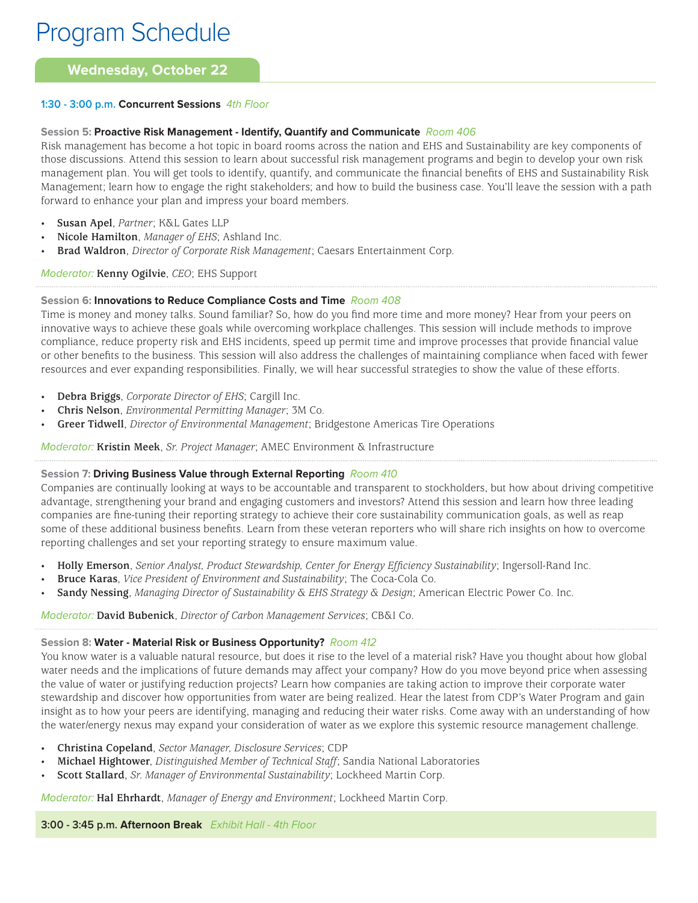# **Wednesday, October 22**

# **1:30 - 3:00 p.m. Concurrent Sessions** 4th Floor

### **Session 5: Proactive Risk Management - Identify, Quantify and Communicate** Room 406

Risk management has become a hot topic in board rooms across the nation and EHS and Sustainability are key components of those discussions. Attend this session to learn about successful risk management programs and begin to develop your own risk management plan. You will get tools to identify, quantify, and communicate the financial benefits of EHS and Sustainability Risk Management; learn how to engage the right stakeholders; and how to build the business case. You'll leave the session with a path forward to enhance your plan and impress your board members.

- **Susan Apel**, *Partner*; K&L Gates LLP
- **Nicole Hamilton**, *Manager of EHS*; Ashland Inc.
- **Brad Waldron**, *Director of Corporate Risk Management*; Caesars Entertainment Corp.

# Moderator: **Kenny Ogilvie**, *CEO*; EHS Support

# **Session 6: Innovations to Reduce Compliance Costs and Time** Room 408

Time is money and money talks. Sound familiar? So, how do you find more time and more money? Hear from your peers on innovative ways to achieve these goals while overcoming workplace challenges. This session will include methods to improve compliance, reduce property risk and EHS incidents, speed up permit time and improve processes that provide financial value or other benefits to the business. This session will also address the challenges of maintaining compliance when faced with fewer resources and ever expanding responsibilities. Finally, we will hear successful strategies to show the value of these efforts.

- **Debra Briggs**, *Corporate Director of EHS*; Cargill Inc.
- **Chris Nelson**, *Environmental Permitting Manager*; 3M Co.
- **Greer Tidwell**, *Director of Environmental Management*; Bridgestone Americas Tire Operations

Moderator: **Kristin Meek**, *Sr. Project Manager*; AMEC Environment & Infrastructure

# **Session 7: Driving Business Value through External Reporting** Room 410

Companies are continually looking at ways to be accountable and transparent to stockholders, but how about driving competitive advantage, strengthening your brand and engaging customers and investors? Attend this session and learn how three leading companies are fine-tuning their reporting strategy to achieve their core sustainability communication goals, as well as reap some of these additional business benefits. Learn from these veteran reporters who will share rich insights on how to overcome reporting challenges and set your reporting strategy to ensure maximum value.

- **Holly Emerson**, *Senior Analyst, Product Stewardship, Center for Energy Efficiency Sustainability*; Ingersoll-Rand Inc.
- **Bruce Karas**, *Vice President of Environment and Sustainability*; The Coca-Cola Co.
- **Sandy Nessing**, *Managing Director of Sustainability & EHS Strategy & Design*; American Electric Power Co. Inc.

#### Moderator: **David Bubenick**, *Director of Carbon Management Services*; CB&I Co.

# **Session 8: Water - Material Risk or Business Opportunity?** Room 412

You know water is a valuable natural resource, but does it rise to the level of a material risk? Have you thought about how global water needs and the implications of future demands may affect your company? How do you move beyond price when assessing the value of water or justifying reduction projects? Learn how companies are taking action to improve their corporate water stewardship and discover how opportunities from water are being realized. Hear the latest from CDP's Water Program and gain insight as to how your peers are identifying, managing and reducing their water risks. Come away with an understanding of how the water/energy nexus may expand your consideration of water as we explore this systemic resource management challenge.

- **Christina Copeland**, *Sector Manager, Disclosure Services*; CDP
- **Michael Hightower**, *Distinguished Member of Technical Staff*; Sandia National Laboratories
- **Scott Stallard**, *Sr. Manager of Environmental Sustainability*; Lockheed Martin Corp.

Moderator: **Hal Ehrhardt**, *Manager of Energy and Environment*; Lockheed Martin Corp.

**3:00 - 3:45 p.m. Afternoon Break** Exhibit Hall - 4th Floor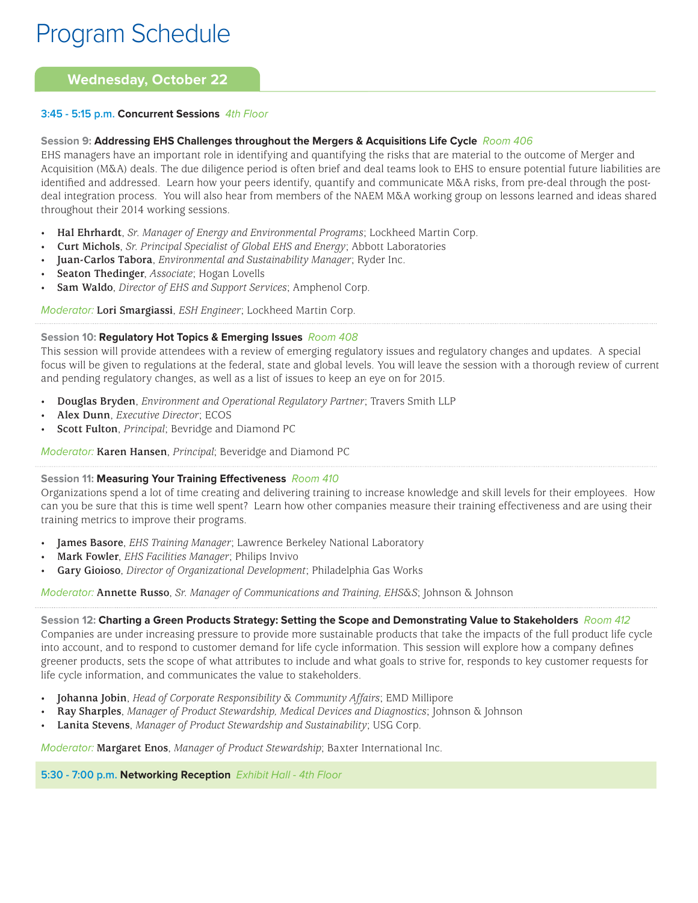# **Wednesday, October 22**

# **3:45 - 5:15 p.m. Concurrent Sessions** 4th Floor

# **Session 9: Addressing EHS Challenges throughout the Mergers & Acquisitions Life Cycle** Room 406

EHS managers have an important role in identifying and quantifying the risks that are material to the outcome of Merger and Acquisition (M&A) deals. The due diligence period is often brief and deal teams look to EHS to ensure potential future liabilities are identified and addressed. Learn how your peers identify, quantify and communicate M&A risks, from pre-deal through the postdeal integration process. You will also hear from members of the NAEM M&A working group on lessons learned and ideas shared throughout their 2014 working sessions.

- **Hal Ehrhardt**, *Sr. Manager of Energy and Environmental Programs*; Lockheed Martin Corp.
- **Curt Michols**, *Sr. Principal Specialist of Global EHS and Energy*; Abbott Laboratories
- **Juan-Carlos Tabora**, *Environmental and Sustainability Manager*; Ryder Inc.
- **Seaton Thedinger**, *Associate*; Hogan Lovells
- **Sam Waldo**, *Director of EHS and Support Services*; Amphenol Corp.

Moderator: **Lori Smargiassi**, *ESH Engineer*; Lockheed Martin Corp.

# **Session 10: Regulatory Hot Topics & Emerging Issues** Room 408

This session will provide attendees with a review of emerging regulatory issues and regulatory changes and updates. A special focus will be given to regulations at the federal, state and global levels. You will leave the session with a thorough review of current and pending regulatory changes, as well as a list of issues to keep an eye on for 2015.

- **Douglas Bryden**, *Environment and Operational Regulatory Partner*; Travers Smith LLP
- **Alex Dunn**, *Executive Director*; ECOS
- **Scott Fulton**, *Principal*; Bevridge and Diamond PC

Moderator: **Karen Hansen**, *Principal*; Beveridge and Diamond PC

# **Session 11: Measuring Your Training Effectiveness** Room 410

Organizations spend a lot of time creating and delivering training to increase knowledge and skill levels for their employees. How can you be sure that this is time well spent? Learn how other companies measure their training effectiveness and are using their training metrics to improve their programs.

- **James Basore**, *EHS Training Manager*; Lawrence Berkeley National Laboratory
- **Mark Fowler**, *EHS Facilities Manager*; Philips Invivo
- **Gary Gioioso**, *Director of Organizational Development*; Philadelphia Gas Works

Moderator: **Annette Russo**, *Sr. Manager of Communications and Training, EHS&S*; Johnson & Johnson

**Session 12: Charting a Green Products Strategy: Setting the Scope and Demonstrating Value to Stakeholders** Room 412 Companies are under increasing pressure to provide more sustainable products that take the impacts of the full product life cycle into account, and to respond to customer demand for life cycle information. This session will explore how a company defines greener products, sets the scope of what attributes to include and what goals to strive for, responds to key customer requests for life cycle information, and communicates the value to stakeholders.

- **Johanna Jobin**, *Head of Corporate Responsibility & Community Affairs*; EMD Millipore
- **Ray Sharples**, *Manager of Product Stewardship, Medical Devices and Diagnostics*; Johnson & Johnson
- **Lanita Stevens**, *Manager of Product Stewardship and Sustainability*; USG Corp.

Moderator: **Margaret Enos**, *Manager of Product Stewardship*; Baxter International Inc.

**5:30 - 7:00 p.m. Networking Reception** Exhibit Hall - 4th Floor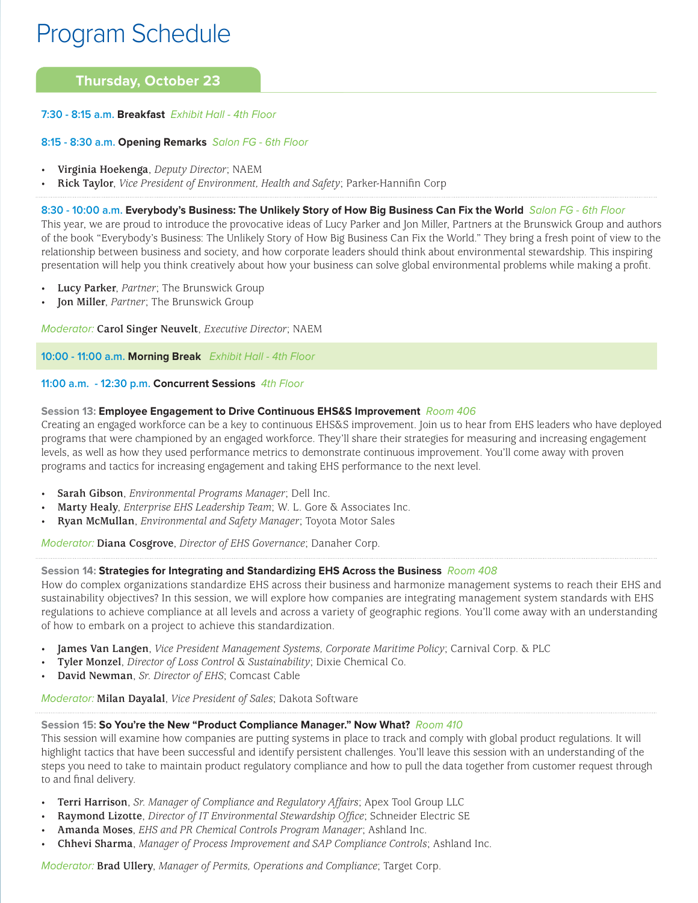# **Thursday, October 23**

### **7:30 - 8:15 a.m. Breakfast** Exhibit Hall - 4th Floor

#### **8:15 - 8:30 a.m. Opening Remarks** Salon FG - 6th Floor

- **Virginia Hoekenga**, *Deputy Director*; NAEM
- **Rick Taylor**, *Vice President of Environment, Health and Safety*; Parker-Hannifin Corp

#### **8:30 - 10:00 a.m. Everybody's Business: The Unlikely Story of How Big Business Can Fix the World** Salon FG - 6th Floor

This year, we are proud to introduce the provocative ideas of Lucy Parker and Jon Miller, Partners at the Brunswick Group and authors of the book "Everybody's Business: The Unlikely Story of How Big Business Can Fix the World." They bring a fresh point of view to the relationship between business and society, and how corporate leaders should think about environmental stewardship. This inspiring presentation will help you think creatively about how your business can solve global environmental problems while making a profit.

- **Lucy Parker**, *Partner*; The Brunswick Group
- **Jon Miller**, *Partner*; The Brunswick Group

Moderator: **Carol Singer Neuvelt**, *Executive Director*; NAEM

**10:00 - 11:00 a.m. Morning Break** Exhibit Hall - 4th Floor

#### **11:00 a.m. - 12:30 p.m. Concurrent Sessions** 4th Floor

#### **Session 13: Employee Engagement to Drive Continuous EHS&S Improvement** Room 406

Creating an engaged workforce can be a key to continuous EHS&S improvement. Join us to hear from EHS leaders who have deployed programs that were championed by an engaged workforce. They'll share their strategies for measuring and increasing engagement levels, as well as how they used performance metrics to demonstrate continuous improvement. You'll come away with proven programs and tactics for increasing engagement and taking EHS performance to the next level.

- **Sarah Gibson**, *Environmental Programs Manager*; Dell Inc.
- **Marty Healy**, *Enterprise EHS Leadership Team*; W. L. Gore & Associates Inc.
- **Ryan McMullan**, *Environmental and Safety Manager*; Toyota Motor Sales

Moderator: **Diana Cosgrove**, *Director of EHS Governance*; Danaher Corp.

# **Session 14: Strategies for Integrating and Standardizing EHS Across the Business** Room 408

How do complex organizations standardize EHS across their business and harmonize management systems to reach their EHS and sustainability objectives? In this session, we will explore how companies are integrating management system standards with EHS regulations to achieve compliance at all levels and across a variety of geographic regions. You'll come away with an understanding of how to embark on a project to achieve this standardization.

- **James Van Langen**, *Vice President Management Systems, Corporate Maritime Policy*; Carnival Corp. & PLC
- **Tyler Monzel**, *Director of Loss Control & Sustainability*; Dixie Chemical Co.
- **David Newman**, *Sr. Director of EHS*; Comcast Cable

Moderator: **Milan Dayalal**, *Vice President of Sales*; Dakota Software

# **Session 15: So You're the New "Product Compliance Manager." Now What?** Room 410

This session will examine how companies are putting systems in place to track and comply with global product regulations. It will highlight tactics that have been successful and identify persistent challenges. You'll leave this session with an understanding of the steps you need to take to maintain product regulatory compliance and how to pull the data together from customer request through to and final delivery.

- **Terri Harrison**, *Sr. Manager of Compliance and Regulatory Affairs*; Apex Tool Group LLC
- **Raymond Lizotte**, *Director of IT Environmental Stewardship Office*; Schneider Electric SE
- **Amanda Moses**, *EHS and PR Chemical Controls Program Manager*; Ashland Inc.
- **Chhevi Sharma**, *Manager of Process Improvement and SAP Compliance Controls*; Ashland Inc.

Moderator: **Brad Ullery**, *Manager of Permits, Operations and Compliance*; Target Corp.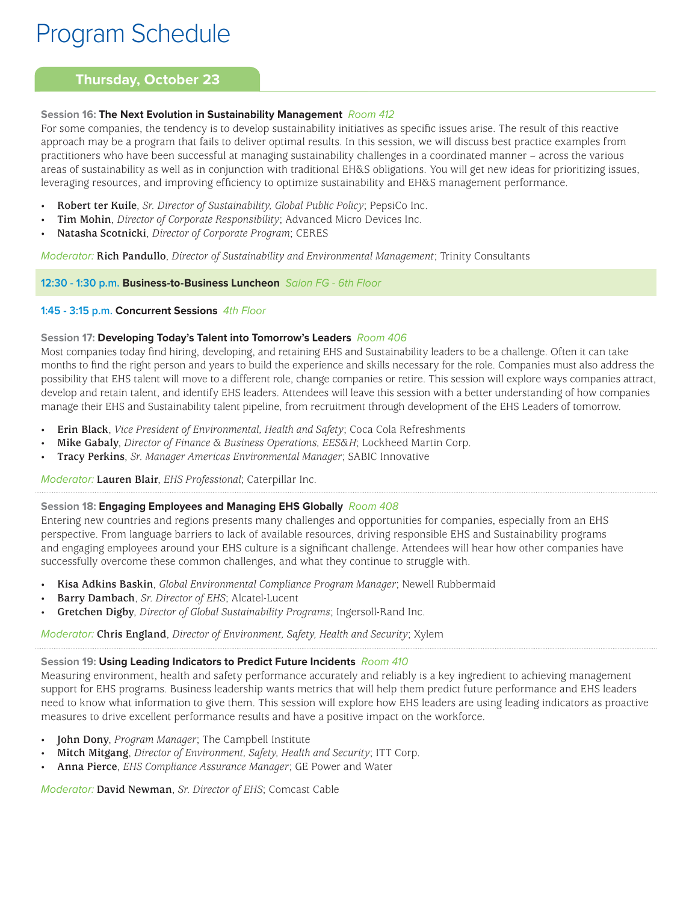# **Thursday, October 23**

# **Session 16: The Next Evolution in Sustainability Management** Room 412

For some companies, the tendency is to develop sustainability initiatives as specific issues arise. The result of this reactive approach may be a program that fails to deliver optimal results. In this session, we will discuss best practice examples from practitioners who have been successful at managing sustainability challenges in a coordinated manner – across the various areas of sustainability as well as in conjunction with traditional EH&S obligations. You will get new ideas for prioritizing issues, leveraging resources, and improving efficiency to optimize sustainability and EH&S management performance.

- **Robert ter Kuile**, *Sr. Director of Sustainability, Global Public Policy*; PepsiCo Inc.
- **Tim Mohin**, *Director of Corporate Responsibility*; Advanced Micro Devices Inc.
- **Natasha Scotnicki**, *Director of Corporate Program*; CERES

Moderator: **Rich Pandullo**, *Director of Sustainability and Environmental Management*; Trinity Consultants

# **12:30 - 1:30 p.m. Business-to-Business Luncheon** Salon FG - 6th Floor

# **1:45 - 3:15 p.m. Concurrent Sessions** 4th Floor

# **Session 17: Developing Today's Talent into Tomorrow's Leaders** Room 406

Most companies today find hiring, developing, and retaining EHS and Sustainability leaders to be a challenge. Often it can take months to find the right person and years to build the experience and skills necessary for the role. Companies must also address the possibility that EHS talent will move to a different role, change companies or retire. This session will explore ways companies attract, develop and retain talent, and identify EHS leaders. Attendees will leave this session with a better understanding of how companies manage their EHS and Sustainability talent pipeline, from recruitment through development of the EHS Leaders of tomorrow.

- **Erin Black**, *Vice President of Environmental, Health and Safety*; Coca Cola Refreshments
- **Mike Gabaly**, *Director of Finance & Business Operations, EES&H*; Lockheed Martin Corp.
- **Tracy Perkins**, *Sr. Manager Americas Environmental Manager*; SABIC Innovative

Moderator: **Lauren Blair**, *EHS Professional*; Caterpillar Inc.

# **Session 18: Engaging Employees and Managing EHS Globally** Room 408

Entering new countries and regions presents many challenges and opportunities for companies, especially from an EHS perspective. From language barriers to lack of available resources, driving responsible EHS and Sustainability programs and engaging employees around your EHS culture is a significant challenge. Attendees will hear how other companies have successfully overcome these common challenges, and what they continue to struggle with.

- **Kisa Adkins Baskin**, *Global Environmental Compliance Program Manager*; Newell Rubbermaid
- **Barry Dambach**, *Sr. Director of EHS*; Alcatel-Lucent
- **Gretchen Digby**, *Director of Global Sustainability Programs*; Ingersoll-Rand Inc.

Moderator: **Chris England**, *Director of Environment, Safety, Health and Security*; Xylem

# **Session 19: Using Leading Indicators to Predict Future Incidents** Room 410

Measuring environment, health and safety performance accurately and reliably is a key ingredient to achieving management support for EHS programs. Business leadership wants metrics that will help them predict future performance and EHS leaders need to know what information to give them. This session will explore how EHS leaders are using leading indicators as proactive measures to drive excellent performance results and have a positive impact on the workforce.

- **John Dony**, *Program Manager*; The Campbell Institute
- **Mitch Mitgang**, *Director of Environment, Safety, Health and Security*; ITT Corp.
- **Anna Pierce**, *EHS Compliance Assurance Manager*; GE Power and Water

Moderator: **David Newman**, *Sr. Director of EHS*; Comcast Cable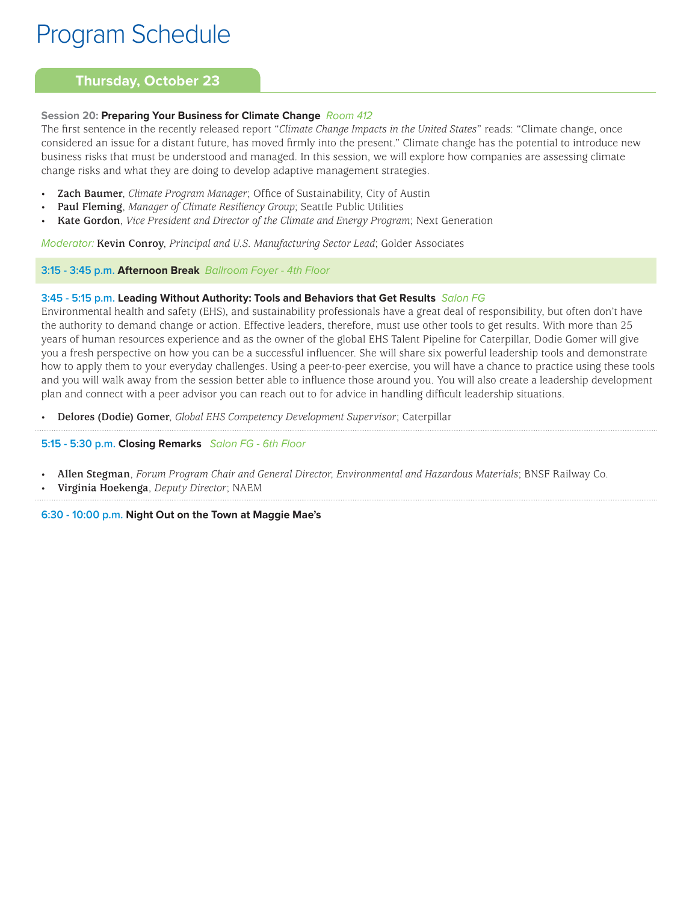# **Thursday, October 23**

# **Session 20: Preparing Your Business for Climate Change** Room 412

The first sentence in the recently released report "*Climate Change Impacts in the United States*" reads: "Climate change, once considered an issue for a distant future, has moved firmly into the present." Climate change has the potential to introduce new business risks that must be understood and managed. In this session, we will explore how companies are assessing climate change risks and what they are doing to develop adaptive management strategies.

- Zach Baumer, *Climate Program Manager*; Office of Sustainability, City of Austin
- **Paul Fleming**, *Manager of Climate Resiliency Group*; Seattle Public Utilities
- **Kate Gordon**, *Vice President and Director of the Climate and Energy Program*; Next Generation

Moderator: **Kevin Conroy**, *Principal and U.S. Manufacturing Sector Lead*; Golder Associates

# **3:15 - 3:45 p.m. Afternoon Break** Ballroom Foyer - 4th Floor

# **3:45 - 5:15 p.m. Leading Without Authority: Tools and Behaviors that Get Results** Salon FG

Environmental health and safety (EHS), and sustainability professionals have a great deal of responsibility, but often don't have the authority to demand change or action. Effective leaders, therefore, must use other tools to get results. With more than 25 years of human resources experience and as the owner of the global EHS Talent Pipeline for Caterpillar, Dodie Gomer will give you a fresh perspective on how you can be a successful influencer. She will share six powerful leadership tools and demonstrate how to apply them to your everyday challenges. Using a peer-to-peer exercise, you will have a chance to practice using these tools and you will walk away from the session better able to influence those around you. You will also create a leadership development plan and connect with a peer advisor you can reach out to for advice in handling difficult leadership situations.

• **Delores (Dodie) Gomer**, *Global EHS Competency Development Supervisor*; Caterpillar

# **5:15 - 5:30 p.m. Closing Remarks** Salon FG - 6th Floor

- **Allen Stegman**, *Forum Program Chair and General Director, Environmental and Hazardous Materials*; BNSF Railway Co.
- **Virginia Hoekenga**, *Deputy Director*; NAEM

**6:30 - 10:00 p.m. Night Out on the Town at Maggie Mae's**